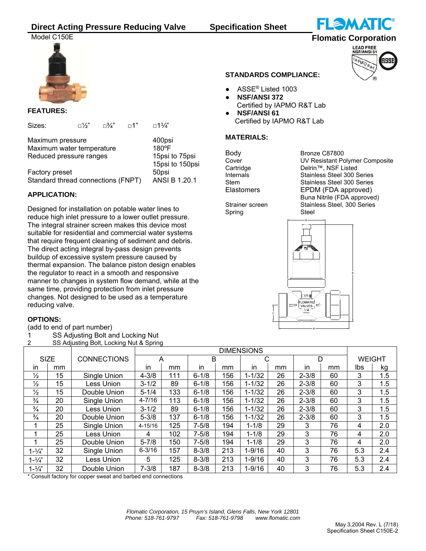# **Direct Acting Pressure Reducing Valve Specification Sheet**



## **FEATURES:**

| Sizes:                                               | □½" | ⊟%"                               | ா1" | $\Box$ 11/4"           |
|------------------------------------------------------|-----|-----------------------------------|-----|------------------------|
| Maximum pressure<br>Maximum water temperature        |     | 400psi<br>180°F                   |     |                        |
| Reduced pressure ranges                              |     | 15psi to 75psi<br>15psi to 150psi |     |                        |
| Factory preset<br>Standard thread connections (FNPT) |     |                                   |     | 50psi<br>ANSI B 1.20.1 |

## **APPLICATION:**

Designed for installation on potable water lines to reduce high inlet pressure to a lower outlet pressure. The integral strainer screen makes this device most suitable for residential and commercial water systems that require frequent cleaning of sediment and debris. The direct acting integral by-pass design prevents buildup of excessive system pressure caused by thermal expansion. The balance piston design enables the regulator to react in a smooth and responsive manner to changes in system flow demand, while at the same time, providing protection from inlet pressure changes. Not designed to be used as a temperature reducing valve.

## **OPTIONS:**

(add to end of part number)

- 1 SS Adjusting Bolt and Locking Nut
- 2 SS Adjusting Bolt, Locking Nut & Spring

## **STANDARDS COMPLIANCE:**

- ASSE<sup>®</sup> Listed 1003
- **NSF/ANSI 372**  Certified by IAPMO R&T Lab
- **NSF/ANSI 61** Certified by IAPMO R&T Lab

## **MATERIALS:**

Body Bronze C87800

Cover UV Resistant Polymer Composite<br>Cartridge Delrin™, NSF Listed Cartridge Delrin™, NSF Listed<br>19 Delrin™, NSF Listed Stainless Steel Stainless Steel 300 Series Stem Stainless Steel 300 Series Elastomers EPDM (FDA approved) Buna Nitrile (FDA approved) Strainer screen Stainless Steel, 300 Series

Spring Steel



|                   |    |                    | <b>DIMENSIONS</b> |     |           |     |            |    |           |    |               |         |
|-------------------|----|--------------------|-------------------|-----|-----------|-----|------------|----|-----------|----|---------------|---------|
| <b>SIZE</b>       |    | <b>CONNECTIONS</b> |                   |     | в         |     |            |    |           |    | <b>WEIGHT</b> |         |
| in.               | mm |                    | in.               | mm  | in        | mm  | in         | mm | in.       | mm | lbs           | kg      |
| $\frac{1}{2}$     | 15 | Single Union       | $4 - 3/8$         | 111 | $6 - 1/8$ | 156 | $1 - 1/32$ | 26 | $2 - 3/8$ | 60 | 3             | $1.5\,$ |
| $\frac{1}{2}$     | 15 | Less Union         | $3 - 1/2$         | 89  | $6 - 1/8$ | 156 | 1-1/32     | 26 | $2 - 3/8$ | 60 | 3             | 1.5     |
| $\frac{1}{2}$     | 15 | Double Union       | $5 - 1/4$         | 133 | $6 - 1/8$ | 156 | 1-1/32     | 26 | $2 - 3/8$ | 60 | 3             | 1.5     |
| $\frac{3}{4}$     | 20 | Single Union       | $4 - 7/16$        | 113 | $6 - 1/8$ | 156 | 1-1/32     | 26 | $2 - 3/8$ | 60 | 3             | 1.5     |
| $\frac{3}{4}$     | 20 | Less Union         | $3 - 1/2$         | 89  | $6 - 1/8$ | 156 | 1-1/32     | 26 | $2 - 3/8$ | 60 | 3             | 1.5     |
| $\frac{3}{4}$     | 20 | Double Union       | $5 - 3/8$         | 137 | $6 - 1/8$ | 156 | 1-1/32     | 26 | $2 - 3/8$ | 60 | 3             | 1.5     |
|                   | 25 | Single Union       | $4 - 15/16$       | 125 | 7-5/8     | 194 | $1 - 1/8$  | 29 | 3         | 76 | 4             | 2.0     |
|                   | 25 | Less Union         | 4                 | 102 | $7 - 5/8$ | 194 | $1 - 1/8$  | 29 | 3         | 76 | 4             | 2.0     |
|                   | 25 | Double Union       | $5 - 7/8$         | 150 | $7 - 5/8$ | 194 | $1 - 1/8$  | 29 | 3         | 76 | 4             | 2.0     |
| $1 - \frac{1}{4}$ | 32 | Single Union       | $6 - 3/16$        | 157 | $8 - 3/8$ | 213 | $1 - 9/16$ | 40 | 3         | 76 | 5.3           | 2.4     |
| $1 - 1/4$ "       | 32 | Less Union         | 5.                | 125 | $8 - 3/8$ | 213 | $1 - 9/16$ | 40 | 3         | 76 | 5.3           | 2.4     |
| $1 - \frac{1}{4}$ | 32 | Double Union       | $7 - 3/8$         | 187 | $8 - 3/8$ | 213 | 1-9/16     | 40 | 3         | 76 | 5.3           | 2.4     |

\* Consult factory for copper sweat and barbed end connections



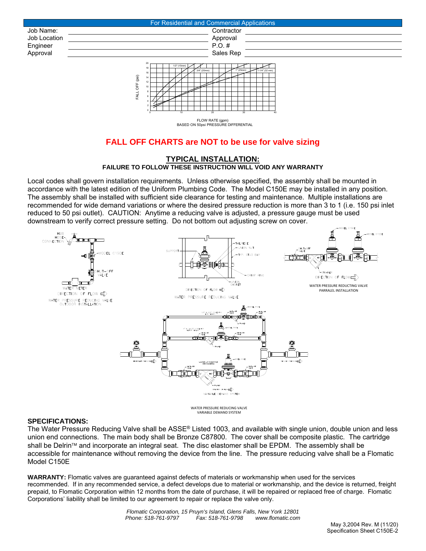



BASED ON 50psi PRESSURE DIFFERENTIAL FLOW RATE (gpm)

# **FALL OFF CHARTS are NOT to be use for valve sizing**

### **TYPICAL INSTALLATION: FAILURE TO FOLLOW THESE INSTRUCTION WILL VOID ANY WARRANTY**

Local codes shall govern installation requirements. Unless otherwise specified, the assembly shall be mounted in accordance with the latest edition of the Uniform Plumbing Code. The Model C150E may be installed in any position. The assembly shall be installed with sufficient side clearance for testing and maintenance. Multiple installations are recommended for wide demand variations or where the desired pressure reduction is more than 3 to 1 (i.e. 150 psi inlet reduced to 50 psi outlet). CAUTION: Anytime a reducing valve is adjusted, a pressure gauge must be used downstream to verify correct pressure setting. Do not bottom out adjusting screw on cover.



WATER PRESSURE REDUCING VALVE VARIABLE DEMAND SYSTEM

## **SPECIFICATIONS:**

The Water Pressure Reducing Valve shall be ASSE® Listed 1003, and available with single union, double union and less union end connections. The main body shall be Bronze C87800. The cover shall be composite plastic. The cartridge shall be Delrin™ and incorporate an integral seat. The disc elastomer shall be EPDM. The assembly shall be accessible for maintenance without removing the device from the line. The pressure reducing valve shall be a Flomatic Model C150E

**WARRANTY:** Flomatic valves are guaranteed against defects of materials or workmanship when used for the services recommended. If in any recommended service, a defect develops due to material or workmanship, and the device is returned, freight prepaid, to Flomatic Corporation within 12 months from the date of purchase, it will be repaired or replaced free of charge. Flomatic Corporations' liability shall be limited to our agreement to repair or replace the valve only.

> *Flomatic Corporation, 15 Pruyn's Island, Glens Falls, New York 12801 Phone: 518-761-9797 Fax: 518-761-9798 www.flomatic.com*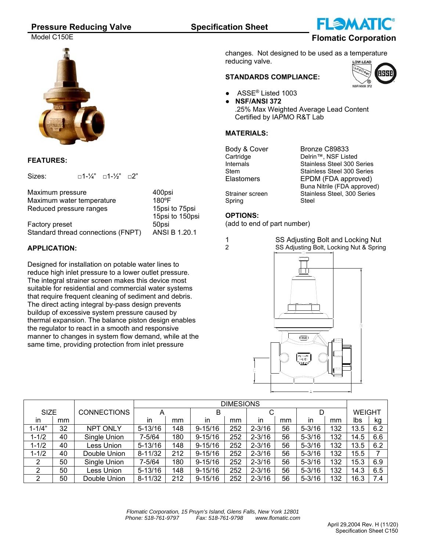## **Pressure Reducing Valve Specification Sheet**

Model C150E **Flomatic Corporation**



## **FEATURES:**

Sizes:  $\Box$ 1-1/4"  $\Box$ 1-1/2"  $\Box$ 2"

| Maximum pressure                   | 400psi          |
|------------------------------------|-----------------|
| Maximum water temperature          | $180^{\circ}$ F |
| Reduced pressure ranges            | 15psi to 75psi  |
|                                    | 15psi to 150psi |
| Factory preset                     | 50psi           |
| Standard thread connections (FNPT) | ANSI B 1.20.1   |

## **APPLICATION:**

Designed for installation on potable water lines to reduce high inlet pressure to a lower outlet pressure. The integral strainer screen makes this device most suitable for residential and commercial water systems that require frequent cleaning of sediment and debris. The direct acting integral by-pass design prevents buildup of excessive system pressure caused by thermal expansion. The balance piston design enables the regulator to react in a smooth and responsive manner to changes in system flow demand, while at the same time, providing protection from inlet pressure

changes. Not designed to be used as a temperature reducing valve.

## **STANDARDS COMPLIANCE:**

- ASSE<sup>®</sup> Listed 1003
	- **● NSF/ANSI 372**  .25% Max Weighted Average Lead Content Certified by IAPMO R&T Lab

## **MATERIALS:**

Body & Cover Bronze C89833<br>Cartridge Delrin™, NSF List Cartridge Delrin™, NSF Listed<br>1990 Internals Stainless Steel 300 Stainless Steel 300 Series Stem Stainless Steel 300 Series Elastomers EPDM (FDA approved) Buna Nitrile (FDA approved) Strainer screen Stainless Steel, 300 Series Spring Steel

## **OPTIONS:**

(add to end of part number)

1 SS Adjusting Bolt and Locking Nut<br>2 SS Adjusting Bolt Locking Nut & Sprin SS Adjusting Bolt, Locking Nut & Spring



|             |    |                    | <b>DIMESIONS</b> |     |             |     |             |    |            |     |               |     |
|-------------|----|--------------------|------------------|-----|-------------|-----|-------------|----|------------|-----|---------------|-----|
| <b>SIZE</b> |    | <b>CONNECTIONS</b> | Α                |     | в           |     | $\sim$<br>ັ |    |            |     | <b>WEIGHT</b> |     |
| in          | mm |                    | in               | mm  | in          | mm  | in          | mm | in.        | mm  | Ibs           | kg  |
| $1 - 1/4"$  | 32 | <b>NPT ONLY</b>    | $5 - 13/16$      | 148 | $9 - 15/16$ | 252 | $2 - 3/16$  | 56 | $5 - 3/16$ | 132 | 13.5          | 6.2 |
| $1 - 1/2$   | 40 | Single Union       | 7-5/64           | 180 | $9 - 15/16$ | 252 | $2 - 3/16$  | 56 | $5 - 3/16$ | 132 | 14.5          | 6.6 |
| $1 - 1/2$   | 40 | Less Union         | $5 - 13/16$      | 148 | $9 - 15/16$ | 252 | $2 - 3/16$  | 56 | $5 - 3/16$ | 132 | 13.5          | 6.2 |
| $1 - 1/2$   | 40 | Double Union       | $8 - 11/32$      | 212 | $9 - 15/16$ | 252 | $2 - 3/16$  | 56 | $5 - 3/16$ | 132 | 15.5          |     |
| 2           | 50 | Single Union       | 7-5/64           | 180 | $9 - 15/16$ | 252 | $2 - 3/16$  | 56 | $5 - 3/16$ | 132 | 15.3          | 6.9 |
| 2           | 50 | Less Union         | $5 - 13/16$      | 148 | $9 - 15/16$ | 252 | $2 - 3/16$  | 56 | $5 - 3/16$ | 132 | 14.3          | 6.5 |
| 2           | 50 | Double Union       | $8 - 11/32$      | 212 | $9 - 15/16$ | 252 | $2 - 3/16$  | 56 | $5 - 3/16$ | 132 | 16.3          | 7.4 |
|             |    |                    |                  |     |             |     |             |    |            |     |               |     |